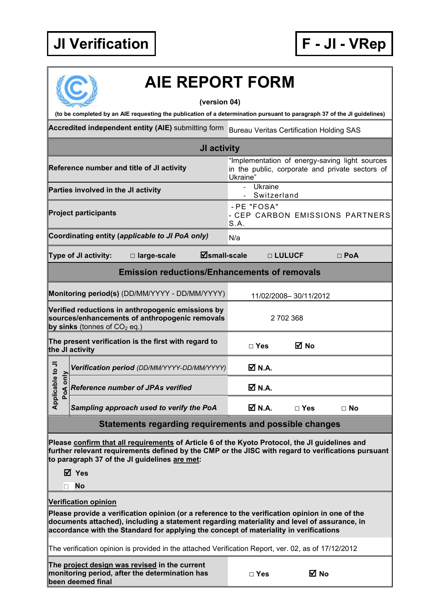## **JI Verification F - JI - VRep**



# **AIE REPORT FORM**

**(version 04)**

**(to be completed by an AIE requesting the publication of a determination pursuant to paragraph 37 of the JI guidelines)**

**Accredited independent entity (AIE)** submitting form Bureau Veritas Certification Holding SAS

|                                                                                                                                       |                      |                                                      | <b>JI activity</b>                                                                                            |                       |               |                                 |            |  |
|---------------------------------------------------------------------------------------------------------------------------------------|----------------------|------------------------------------------------------|---------------------------------------------------------------------------------------------------------------|-----------------------|---------------|---------------------------------|------------|--|
| Reference number and title of JI activity                                                                                             |                      |                                                      | "Implementation of energy-saving light sources<br>in the public, corporate and private sectors of<br>Ukraine" |                       |               |                                 |            |  |
| Parties involved in the JI activity                                                                                                   |                      |                                                      | Ukraine<br>$\blacksquare$<br>Switzerland                                                                      |                       |               |                                 |            |  |
| <b>Project participants</b>                                                                                                           |                      |                                                      | S.A.                                                                                                          | - PE "FOSA"           |               | - CEP CARBON EMISSIONS PARTNERS |            |  |
| Coordinating entity (applicable to JI PoA only)<br>N/a                                                                                |                      |                                                      |                                                                                                               |                       |               |                                 |            |  |
|                                                                                                                                       | Type of JI activity: | □ large-scale                                        | <b>Øsmall-scale</b>                                                                                           |                       |               | □ LULUCF                        | $\Box$ PoA |  |
|                                                                                                                                       |                      | <b>Emission reductions/Enhancements of removals</b>  |                                                                                                               |                       |               |                                 |            |  |
| Monitoring period(s) (DD/MM/YYYY - DD/MM/YYYY)                                                                                        |                      |                                                      |                                                                                                               | 11/02/2008-30/11/2012 |               |                                 |            |  |
| Verified reductions in anthropogenic emissions by<br>sources/enhancements of anthropogenic removals<br>by sinks (tonnes of $CO2$ eq.) |                      |                                                      | 2702368                                                                                                       |                       |               |                                 |            |  |
|                                                                                                                                       | the JI activity      | The present verification is the first with regard to |                                                                                                               |                       | $\square$ Yes | M No                            |            |  |
|                                                                                                                                       |                      | Verification period (DD/MM/YYYY-DD/MM/YYYY)          |                                                                                                               |                       | <b>Ø</b> N.A. |                                 |            |  |
| Applicable to JI<br>PoA only                                                                                                          |                      | <b>Reference number of JPAs verified</b>             |                                                                                                               |                       | <b>Ø</b> N.A. |                                 |            |  |
|                                                                                                                                       |                      | Sampling approach used to verify the PoA             |                                                                                                               |                       | <b>Ø</b> N.A. | $\Box$ Yes                      | $\Box$ No  |  |
|                                                                                                                                       |                      | Cistamente veneraline ven                            |                                                                                                               |                       | لمن الماء     | عام مامائد                      |            |  |

### **Statements regarding requirements and possible changes**

**Please confirm that all requirements of Article 6 of the Kyoto Protocol, the JI guidelines and further relevant requirements defined by the CMP or the JISC with regard to verifications pursuant to paragraph 37 of the JI guidelines are met:**

**Yes**

**No**

#### **Verification opinion**

**Please provide a verification opinion (or a reference to the verification opinion in one of the documents attached), including a statement regarding materiality and level of assurance, in accordance with the Standard for applying the concept of materiality in verifications**

The verification opinion is provided in the attached Verification Report, ver. 02, as of 17/12/2012

**The project design was revised in the current monitoring period, after the determination has been deemed final**

| $\Box$ Yes | ⊠ No |
|------------|------|
|            |      |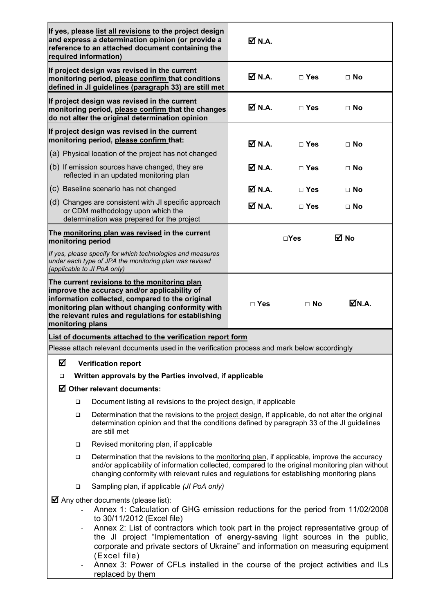| required information)                                                                                                                               | If yes, please list all revisions to the project design<br>and express a determination opinion (or provide a<br>reference to an attached document containing the                                                                                                                                                                                                                                                                                                                                                                                     | $\overline{M}$ N.A.          |               |           |  |  |
|-----------------------------------------------------------------------------------------------------------------------------------------------------|------------------------------------------------------------------------------------------------------------------------------------------------------------------------------------------------------------------------------------------------------------------------------------------------------------------------------------------------------------------------------------------------------------------------------------------------------------------------------------------------------------------------------------------------------|------------------------------|---------------|-----------|--|--|
|                                                                                                                                                     | If project design was revised in the current<br>monitoring period, please confirm that conditions<br>defined in JI guidelines (paragraph 33) are still met                                                                                                                                                                                                                                                                                                                                                                                           | $\overline{\mathsf{M}}$ N.A. | $\Box$ Yes    | $\Box$ No |  |  |
|                                                                                                                                                     | If project design was revised in the current<br>monitoring period, please confirm that the changes<br>do not alter the original determination opinion                                                                                                                                                                                                                                                                                                                                                                                                | $\overline{M}$ N.A.          | $\Box$ Yes    | $\Box$ No |  |  |
|                                                                                                                                                     | If project design was revised in the current<br>monitoring period, please confirm that:                                                                                                                                                                                                                                                                                                                                                                                                                                                              | <b>Ø</b> N.A.                | $\Box$ Yes    | $\Box$ No |  |  |
| (a) Physical location of the project has not changed                                                                                                |                                                                                                                                                                                                                                                                                                                                                                                                                                                                                                                                                      |                              |               |           |  |  |
|                                                                                                                                                     | (b) If emission sources have changed, they are<br>reflected in an updated monitoring plan                                                                                                                                                                                                                                                                                                                                                                                                                                                            |                              | $\Box$ Yes    | $\Box$ No |  |  |
|                                                                                                                                                     | (c) Baseline scenario has not changed                                                                                                                                                                                                                                                                                                                                                                                                                                                                                                                | <b>⊠</b> N.A.                | $\Box$ Yes    | $\Box$ No |  |  |
|                                                                                                                                                     | (d) Changes are consistent with JI specific approach<br>or CDM methodology upon which the<br>determination was prepared for the project                                                                                                                                                                                                                                                                                                                                                                                                              |                              | $\Box$ Yes    | $\Box$ No |  |  |
| The monitoring plan was revised in the current<br>monitoring period                                                                                 |                                                                                                                                                                                                                                                                                                                                                                                                                                                                                                                                                      |                              | $\square$ Yes | ⊠ No      |  |  |
| If yes, please specify for which technologies and measures<br>under each type of JPA the monitoring plan was revised<br>(applicable to JI PoA only) |                                                                                                                                                                                                                                                                                                                                                                                                                                                                                                                                                      |                              |               |           |  |  |
| monitoring plans                                                                                                                                    | The current revisions to the monitoring plan<br>improve the accuracy and/or applicability of<br>information collected, compared to the original<br>monitoring plan without changing conformity with<br>the relevant rules and regulations for establishing                                                                                                                                                                                                                                                                                           | $\Box$ Yes                   | $\Box$ No     | ØN.A.     |  |  |
|                                                                                                                                                     | List of documents attached to the verification report form                                                                                                                                                                                                                                                                                                                                                                                                                                                                                           |                              |               |           |  |  |
|                                                                                                                                                     | Please attach relevant documents used in the verification process and mark below accordingly                                                                                                                                                                                                                                                                                                                                                                                                                                                         |                              |               |           |  |  |
| ☑                                                                                                                                                   | <b>Verification report</b>                                                                                                                                                                                                                                                                                                                                                                                                                                                                                                                           |                              |               |           |  |  |
| ❏                                                                                                                                                   | Written approvals by the Parties involved, if applicable                                                                                                                                                                                                                                                                                                                                                                                                                                                                                             |                              |               |           |  |  |
|                                                                                                                                                     | $\boxtimes$ Other relevant documents:                                                                                                                                                                                                                                                                                                                                                                                                                                                                                                                |                              |               |           |  |  |
| □                                                                                                                                                   | Document listing all revisions to the project design, if applicable                                                                                                                                                                                                                                                                                                                                                                                                                                                                                  |                              |               |           |  |  |
| $\Box$                                                                                                                                              | Determination that the revisions to the project design, if applicable, do not alter the original<br>determination opinion and that the conditions defined by paragraph 33 of the JI guidelines<br>are still met                                                                                                                                                                                                                                                                                                                                      |                              |               |           |  |  |
| ❏                                                                                                                                                   | Revised monitoring plan, if applicable                                                                                                                                                                                                                                                                                                                                                                                                                                                                                                               |                              |               |           |  |  |
| □                                                                                                                                                   | Determination that the revisions to the monitoring plan, if applicable, improve the accuracy<br>and/or applicability of information collected, compared to the original monitoring plan without<br>changing conformity with relevant rules and regulations for establishing monitoring plans                                                                                                                                                                                                                                                         |                              |               |           |  |  |
| $\Box$                                                                                                                                              | Sampling plan, if applicable (JI PoA only)                                                                                                                                                                                                                                                                                                                                                                                                                                                                                                           |                              |               |           |  |  |
|                                                                                                                                                     | $\blacksquare$ Any other documents (please list):<br>Annex 1: Calculation of GHG emission reductions for the period from 11/02/2008<br>to 30/11/2012 (Excel file)<br>Annex 2: List of contractors which took part in the project representative group of<br>the JI project "Implementation of energy-saving light sources in the public,<br>corporate and private sectors of Ukraine" and information on measuring equipment<br>(Excel file)<br>Annex 3: Power of CFLs installed in the course of the project activities and ILs<br>replaced by them |                              |               |           |  |  |